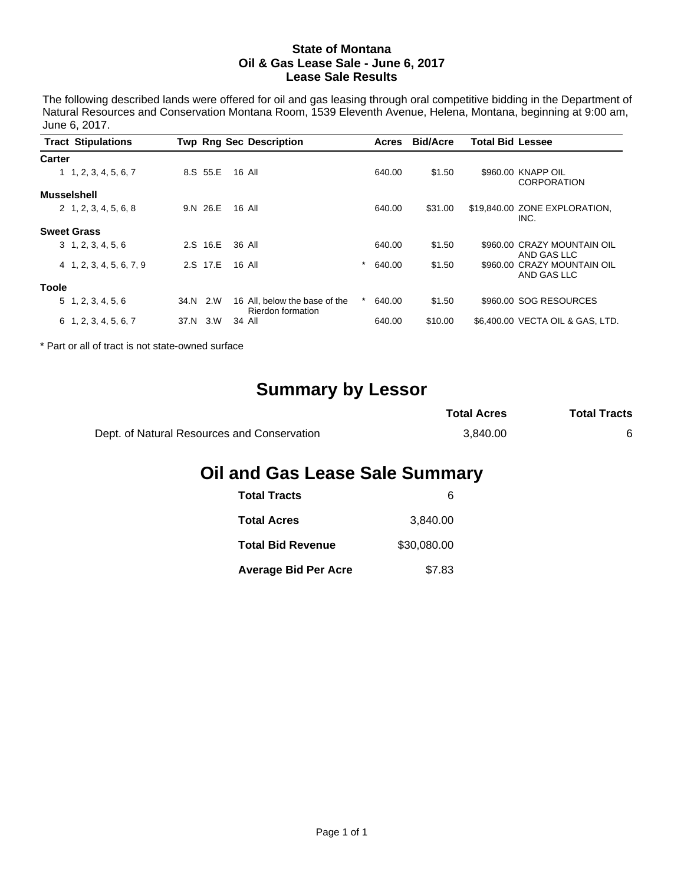#### **State of Montana Oil & Gas Lease Sale - June 6, 2017 Lease Sale Results**

The following described lands were offered for oil and gas leasing through oral competitive bidding in the Department of Natural Resources and Conservation Montana Room, 1539 Eleventh Avenue, Helena, Montana, beginning at 9:00 am, June 6, 2017.

|                    | <b>Tract Stipulations</b>    |      |          | <b>Twp Rng Sec Description</b>                     |            | Acres  | <b>Bid/Acre</b> | <b>Total Bid Lessee</b> |                                            |
|--------------------|------------------------------|------|----------|----------------------------------------------------|------------|--------|-----------------|-------------------------|--------------------------------------------|
| Carter             |                              |      |          |                                                    |            |        |                 |                         |                                            |
|                    | 1, 2, 3, 4, 5, 6, 7          |      | 8.S 55.E | 16 All                                             |            | 640.00 | \$1.50          |                         | \$960.00 KNAPP OIL<br><b>CORPORATION</b>   |
| <b>Musselshell</b> |                              |      |          |                                                    |            |        |                 |                         |                                            |
|                    | $2\quad 1, 2, 3, 4, 5, 6, 8$ |      | 9.N 26.E | 16 All                                             |            | 640.00 | \$31.00         |                         | \$19,840.00 ZONE EXPLORATION,<br>INC.      |
|                    | <b>Sweet Grass</b>           |      |          |                                                    |            |        |                 |                         |                                            |
|                    | 3, 1, 2, 3, 4, 5, 6          |      | 2.S 16.E | 36 All                                             |            | 640.00 | \$1.50          |                         | \$960.00 CRAZY MOUNTAIN OIL<br>AND GAS LLC |
|                    | 4 1, 2, 3, 4, 5, 6, 7, 9     |      | 2.S 17.E | 16 All                                             | $^{\star}$ | 640.00 | \$1.50          |                         | \$960.00 CRAZY MOUNTAIN OIL<br>AND GAS LLC |
| <b>Toole</b>       |                              |      |          |                                                    |            |        |                 |                         |                                            |
|                    | 5, 1, 2, 3, 4, 5, 6          | 34.N | 2.W      | 16 All, below the base of the<br>Rierdon formation |            | 640.00 | \$1.50          |                         | \$960.00 SOG RESOURCES                     |
|                    | $6\quad 1, 2, 3, 4, 5, 6, 7$ | 37.N | 3.W      | 34 All                                             |            | 640.00 | \$10.00         |                         | \$6,400.00 VECTA OIL & GAS, LTD.           |

\* Part or all of tract is not state-owned surface

# **Summary by Lessor**

|                                             | <b>Total Acres</b> | <b>Total Tracts</b> |
|---------------------------------------------|--------------------|---------------------|
| Dept. of Natural Resources and Conservation | 3.840.00           |                     |

## **Oil and Gas Lease Sale Summary**

| <b>Total Tracts</b>         | ห           |
|-----------------------------|-------------|
| <b>Total Acres</b>          | 3.840.00    |
| <b>Total Bid Revenue</b>    | \$30,080,00 |
| <b>Average Bid Per Acre</b> | \$7.83      |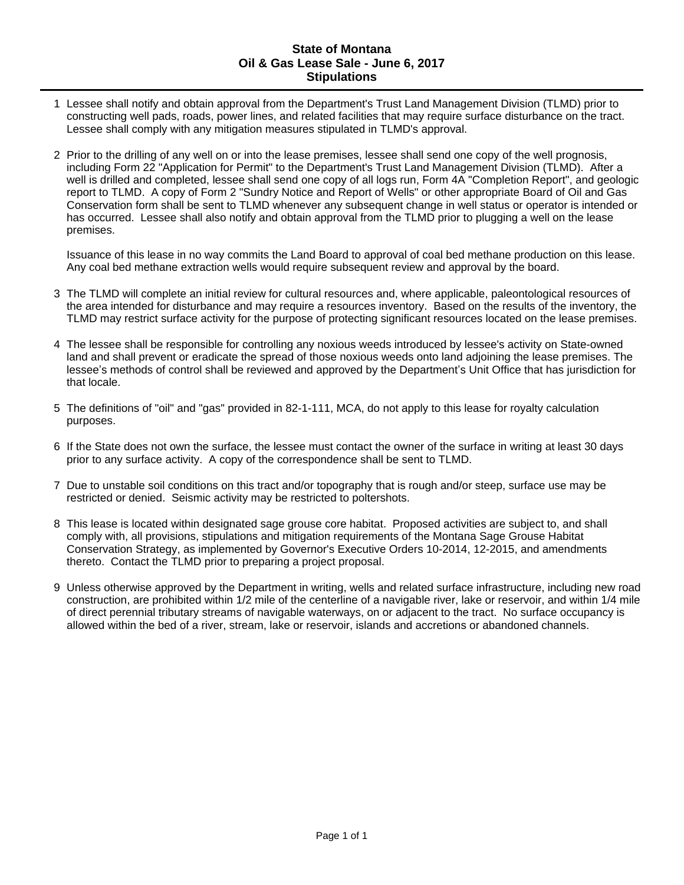#### **State of Montana Oil & Gas Lease Sale - June 6, 2017 Stipulations**

- 1 Lessee shall notify and obtain approval from the Department's Trust Land Management Division (TLMD) prior to constructing well pads, roads, power lines, and related facilities that may require surface disturbance on the tract. Lessee shall comply with any mitigation measures stipulated in TLMD's approval.
- 2 Prior to the drilling of any well on or into the lease premises, lessee shall send one copy of the well prognosis, including Form 22 "Application for Permit" to the Department's Trust Land Management Division (TLMD). After a well is drilled and completed, lessee shall send one copy of all logs run, Form 4A "Completion Report", and geologic report to TLMD. A copy of Form 2 "Sundry Notice and Report of Wells" or other appropriate Board of Oil and Gas Conservation form shall be sent to TLMD whenever any subsequent change in well status or operator is intended or has occurred. Lessee shall also notify and obtain approval from the TLMD prior to plugging a well on the lease premises.

Issuance of this lease in no way commits the Land Board to approval of coal bed methane production on this lease. Any coal bed methane extraction wells would require subsequent review and approval by the board.

- 3 The TLMD will complete an initial review for cultural resources and, where applicable, paleontological resources of the area intended for disturbance and may require a resources inventory. Based on the results of the inventory, the TLMD may restrict surface activity for the purpose of protecting significant resources located on the lease premises.
- 4 The lessee shall be responsible for controlling any noxious weeds introduced by lessee's activity on State-owned land and shall prevent or eradicate the spread of those noxious weeds onto land adjoining the lease premises. The lessee's methods of control shall be reviewed and approved by the Department's Unit Office that has jurisdiction for that locale.
- 5 The definitions of "oil" and "gas" provided in 82-1-111, MCA, do not apply to this lease for royalty calculation purposes.
- 6 If the State does not own the surface, the lessee must contact the owner of the surface in writing at least 30 days prior to any surface activity. A copy of the correspondence shall be sent to TLMD.
- 7 Due to unstable soil conditions on this tract and/or topography that is rough and/or steep, surface use may be restricted or denied. Seismic activity may be restricted to poltershots.
- 8 This lease is located within designated sage grouse core habitat. Proposed activities are subject to, and shall comply with, all provisions, stipulations and mitigation requirements of the Montana Sage Grouse Habitat Conservation Strategy, as implemented by Governor's Executive Orders 10-2014, 12-2015, and amendments thereto. Contact the TLMD prior to preparing a project proposal.
- 9 Unless otherwise approved by the Department in writing, wells and related surface infrastructure, including new road construction, are prohibited within 1/2 mile of the centerline of a navigable river, lake or reservoir, and within 1/4 mile of direct perennial tributary streams of navigable waterways, on or adjacent to the tract. No surface occupancy is allowed within the bed of a river, stream, lake or reservoir, islands and accretions or abandoned channels.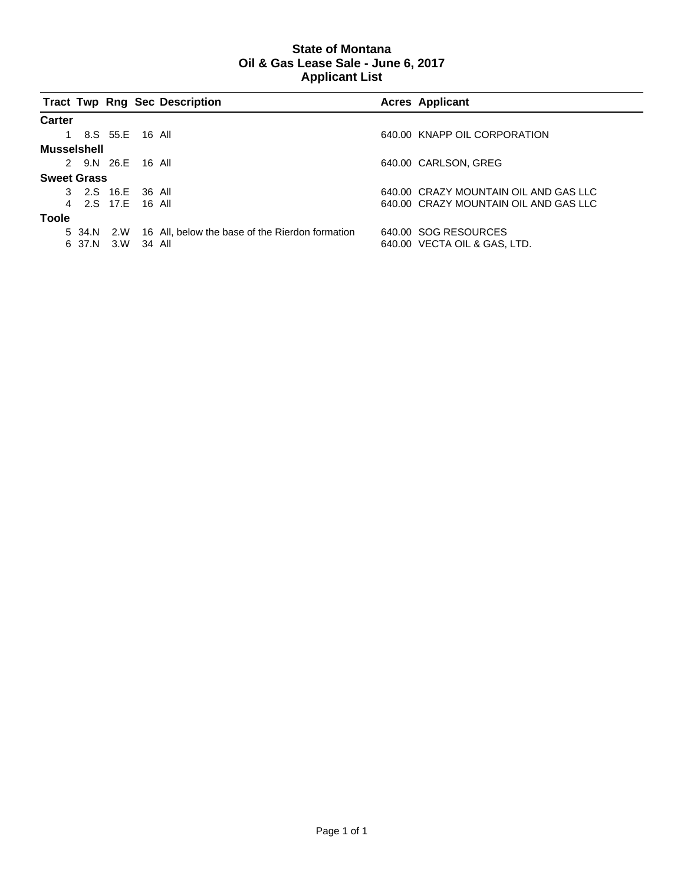### **State of Montana Oil & Gas Lease Sale - June 6, 2017 Applicant List**

|                    |                   |            | <b>Tract Twp Rng Sec Description</b>            | <b>Acres Applicant</b>                |
|--------------------|-------------------|------------|-------------------------------------------------|---------------------------------------|
| Carter             |                   |            |                                                 |                                       |
|                    | 1 8.S 55.E 16 All |            |                                                 | 640.00 KNAPP OIL CORPORATION          |
| Musselshell        |                   |            |                                                 |                                       |
|                    | 2 9.N 26.E 16 All |            |                                                 | 640.00 CARLSON, GREG                  |
| <b>Sweet Grass</b> |                   |            |                                                 |                                       |
|                    | 3 2.S 16.E 36 All |            |                                                 | 640.00 CRAZY MOUNTAIN OIL AND GAS LLC |
|                    | 4 2.S 17.F 16 All |            |                                                 | 640.00 CRAZY MOUNTAIN OIL AND GAS LLC |
| Toole              |                   |            |                                                 |                                       |
|                    | 5 34.N 2.W        |            | 16 All, below the base of the Rierdon formation | 640.00 SOG RESOURCES                  |
|                    | 6 37.N            | 3.W 34 All |                                                 | 640.00 VECTA OIL & GAS, LTD.          |